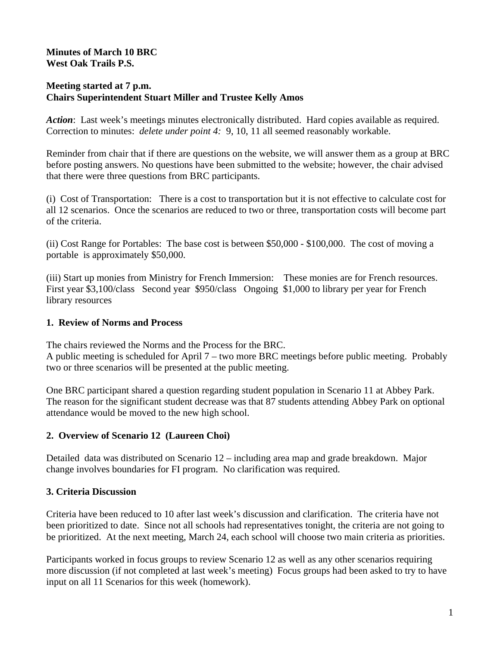## **Minutes of March 10 BRC West Oak Trails P.S.**

#### **Meeting started at 7 p.m. Chairs Superintendent Stuart Miller and Trustee Kelly Amos**

*Action*: Last week's meetings minutes electronically distributed. Hard copies available as required. Correction to minutes: *delete under point 4:* 9, 10, 11 all seemed reasonably workable.

Reminder from chair that if there are questions on the website, we will answer them as a group at BRC before posting answers. No questions have been submitted to the website; however, the chair advised that there were three questions from BRC participants.

(i) Cost of Transportation: There is a cost to transportation but it is not effective to calculate cost for all 12 scenarios. Once the scenarios are reduced to two or three, transportation costs will become part of the criteria.

(ii) Cost Range for Portables: The base cost is between \$50,000 - \$100,000. The cost of moving a portable is approximately \$50,000.

(iii) Start up monies from Ministry for French Immersion: These monies are for French resources. First year \$3,100/class Second year \$950/class Ongoing \$1,000 to library per year for French library resources

### **1. Review of Norms and Process**

The chairs reviewed the Norms and the Process for the BRC.

A public meeting is scheduled for April 7 – two more BRC meetings before public meeting. Probably two or three scenarios will be presented at the public meeting.

One BRC participant shared a question regarding student population in Scenario 11 at Abbey Park. The reason for the significant student decrease was that 87 students attending Abbey Park on optional attendance would be moved to the new high school.

### **2. Overview of Scenario 12 (Laureen Choi)**

Detailed data was distributed on Scenario 12 – including area map and grade breakdown. Major change involves boundaries for FI program. No clarification was required.

### **3. Criteria Discussion**

Criteria have been reduced to 10 after last week's discussion and clarification. The criteria have not been prioritized to date. Since not all schools had representatives tonight, the criteria are not going to be prioritized. At the next meeting, March 24, each school will choose two main criteria as priorities.

Participants worked in focus groups to review Scenario 12 as well as any other scenarios requiring more discussion (if not completed at last week's meeting) Focus groups had been asked to try to have input on all 11 Scenarios for this week (homework).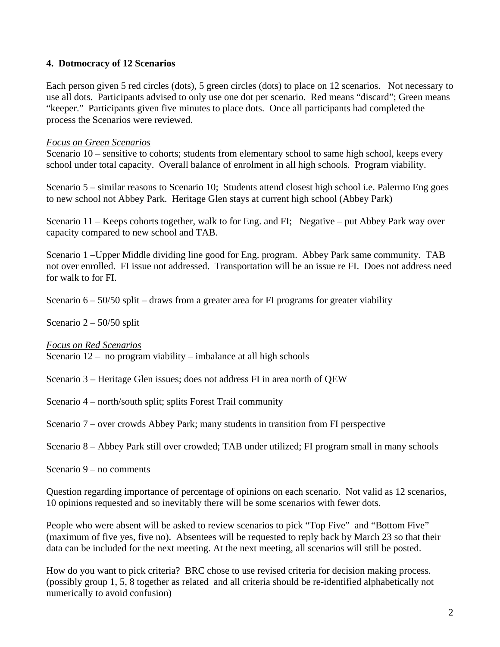### **4. Dotmocracy of 12 Scenarios**

Each person given 5 red circles (dots), 5 green circles (dots) to place on 12 scenarios. Not necessary to use all dots. Participants advised to only use one dot per scenario. Red means "discard"; Green means "keeper." Participants given five minutes to place dots. Once all participants had completed the process the Scenarios were reviewed.

#### *Focus on Green Scenarios*

Scenario 10 – sensitive to cohorts; students from elementary school to same high school, keeps every school under total capacity. Overall balance of enrolment in all high schools. Program viability.

Scenario 5 – similar reasons to Scenario 10; Students attend closest high school i.e. Palermo Eng goes to new school not Abbey Park. Heritage Glen stays at current high school (Abbey Park)

Scenario 11 – Keeps cohorts together, walk to for Eng. and FI; Negative – put Abbey Park way over capacity compared to new school and TAB.

Scenario 1 –Upper Middle dividing line good for Eng. program. Abbey Park same community. TAB not over enrolled. FI issue not addressed. Transportation will be an issue re FI. Does not address need for walk to for FI.

Scenario  $6 - 50/50$  split – draws from a greater area for FI programs for greater viability

Scenario 2 – 50/50 split

*Focus on Red Scenarios*

Scenario 12 – no program viability – imbalance at all high schools

Scenario 3 – Heritage Glen issues; does not address FI in area north of QEW

Scenario 4 – north/south split; splits Forest Trail community

Scenario 7 – over crowds Abbey Park; many students in transition from FI perspective

Scenario 8 – Abbey Park still over crowded; TAB under utilized; FI program small in many schools

Scenario 9 – no comments

Question regarding importance of percentage of opinions on each scenario. Not valid as 12 scenarios, 10 opinions requested and so inevitably there will be some scenarios with fewer dots.

People who were absent will be asked to review scenarios to pick "Top Five" and "Bottom Five" (maximum of five yes, five no). Absentees will be requested to reply back by March 23 so that their data can be included for the next meeting. At the next meeting, all scenarios will still be posted.

How do you want to pick criteria? BRC chose to use revised criteria for decision making process. (possibly group 1, 5, 8 together as related and all criteria should be re-identified alphabetically not numerically to avoid confusion)